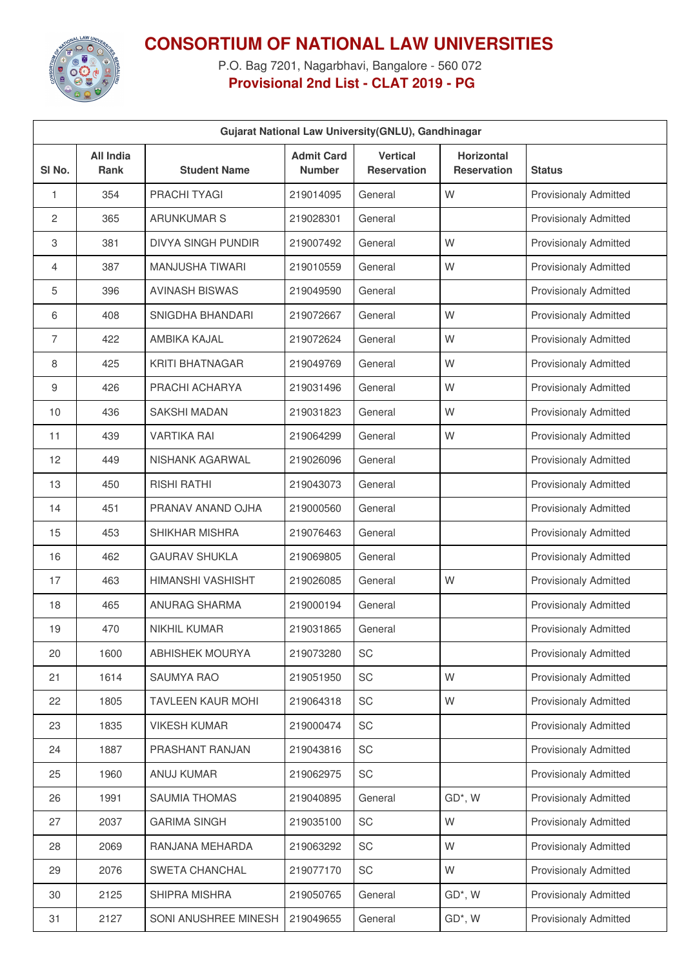

## **CONSORTIUM OF NATIONAL LAW UNIVERSITIES**

P.O. Bag 7201, Nagarbhavi, Bangalore - 560 072 **Provisional 2nd List - CLAT 2019 - PG**

| Gujarat National Law University (GNLU), Gandhinagar |                                 |                           |                                    |                                       |                                  |                              |  |
|-----------------------------------------------------|---------------------------------|---------------------------|------------------------------------|---------------------------------------|----------------------------------|------------------------------|--|
| SI <sub>No.</sub>                                   | <b>All India</b><br><b>Rank</b> | <b>Student Name</b>       | <b>Admit Card</b><br><b>Number</b> | <b>Vertical</b><br><b>Reservation</b> | Horizontal<br><b>Reservation</b> | <b>Status</b>                |  |
| 1                                                   | 354                             | <b>PRACHI TYAGI</b>       | 219014095                          | General                               | W                                | <b>Provisionaly Admitted</b> |  |
| 2                                                   | 365                             | <b>ARUNKUMAR S</b>        | 219028301                          | General                               |                                  | <b>Provisionaly Admitted</b> |  |
| 3                                                   | 381                             | <b>DIVYA SINGH PUNDIR</b> | 219007492                          | General                               | W                                | <b>Provisionaly Admitted</b> |  |
| 4                                                   | 387                             | MANJUSHA TIWARI           | 219010559                          | General                               | W                                | <b>Provisionaly Admitted</b> |  |
| 5                                                   | 396                             | <b>AVINASH BISWAS</b>     | 219049590                          | General                               |                                  | <b>Provisionaly Admitted</b> |  |
| 6                                                   | 408                             | SNIGDHA BHANDARI          | 219072667                          | General                               | W                                | <b>Provisionaly Admitted</b> |  |
| 7                                                   | 422                             | <b>AMBIKA KAJAL</b>       | 219072624                          | General                               | W                                | <b>Provisionaly Admitted</b> |  |
| 8                                                   | 425                             | <b>KRITI BHATNAGAR</b>    | 219049769                          | General                               | W                                | <b>Provisionaly Admitted</b> |  |
| 9                                                   | 426                             | PRACHI ACHARYA            | 219031496                          | General                               | W                                | <b>Provisionaly Admitted</b> |  |
| 10                                                  | 436                             | <b>SAKSHI MADAN</b>       | 219031823                          | General                               | W                                | <b>Provisionaly Admitted</b> |  |
| 11                                                  | 439                             | <b>VARTIKA RAI</b>        | 219064299                          | General                               | W                                | <b>Provisionaly Admitted</b> |  |
| 12                                                  | 449                             | NISHANK AGARWAL           | 219026096                          | General                               |                                  | <b>Provisionaly Admitted</b> |  |
| 13                                                  | 450                             | <b>RISHI RATHI</b>        | 219043073                          | General                               |                                  | <b>Provisionaly Admitted</b> |  |
| 14                                                  | 451                             | PRANAV ANAND OJHA         | 219000560                          | General                               |                                  | <b>Provisionaly Admitted</b> |  |
| 15                                                  | 453                             | SHIKHAR MISHRA            | 219076463                          | General                               |                                  | <b>Provisionaly Admitted</b> |  |
| 16                                                  | 462                             | <b>GAURAV SHUKLA</b>      | 219069805                          | General                               |                                  | <b>Provisionaly Admitted</b> |  |
| 17                                                  | 463                             | <b>HIMANSHI VASHISHT</b>  | 219026085                          | General                               | W                                | <b>Provisionaly Admitted</b> |  |
| 18                                                  | 465                             | <b>ANURAG SHARMA</b>      | 219000194                          | General                               |                                  | <b>Provisionaly Admitted</b> |  |
| 19                                                  | 470                             | <b>NIKHIL KUMAR</b>       | 219031865                          | General                               |                                  | <b>Provisionaly Admitted</b> |  |
| 20                                                  | 1600                            | <b>ABHISHEK MOURYA</b>    | 219073280                          | SC                                    |                                  | <b>Provisionaly Admitted</b> |  |
| 21                                                  | 1614                            | SAUMYA RAO                | 219051950                          | SC                                    | W                                | <b>Provisionaly Admitted</b> |  |
| 22                                                  | 1805                            | TAVLEEN KAUR MOHI         | 219064318                          | SC                                    | W                                | <b>Provisionaly Admitted</b> |  |
| 23                                                  | 1835                            | <b>VIKESH KUMAR</b>       | 219000474                          | SC                                    |                                  | <b>Provisionaly Admitted</b> |  |
| 24                                                  | 1887                            | PRASHANT RANJAN           | 219043816                          | SC                                    |                                  | <b>Provisionaly Admitted</b> |  |
| 25                                                  | 1960                            | ANUJ KUMAR                | 219062975                          | <b>SC</b>                             |                                  | <b>Provisionaly Admitted</b> |  |
| 26                                                  | 1991                            | SAUMIA THOMAS             | 219040895                          | General                               | GD*, W                           | Provisionaly Admitted        |  |
| 27                                                  | 2037                            | <b>GARIMA SINGH</b>       | 219035100                          | SC                                    | W                                | <b>Provisionaly Admitted</b> |  |
| 28                                                  | 2069                            | RANJANA MEHARDA           | 219063292                          | SC                                    | W                                | Provisionaly Admitted        |  |
| 29                                                  | 2076                            | SWETA CHANCHAL            | 219077170                          | <b>SC</b>                             | W                                | <b>Provisionaly Admitted</b> |  |
| 30                                                  | 2125                            | SHIPRA MISHRA             | 219050765                          | General                               | GD*, W                           | Provisionaly Admitted        |  |
| 31                                                  | 2127                            | SONI ANUSHREE MINESH      | 219049655                          | General                               | GD*, W                           | <b>Provisionaly Admitted</b> |  |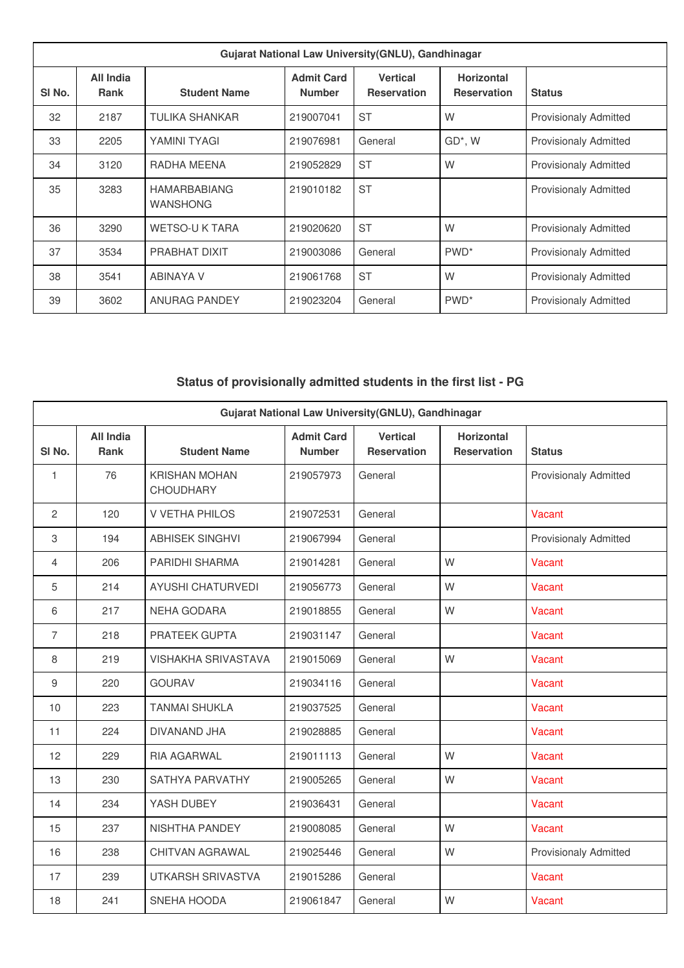| Gujarat National Law University (GNLU), Gandhinagar |                          |                                        |                                    |                                       |                                         |                              |
|-----------------------------------------------------|--------------------------|----------------------------------------|------------------------------------|---------------------------------------|-----------------------------------------|------------------------------|
| SI <sub>No.</sub>                                   | All India<br><b>Rank</b> | <b>Student Name</b>                    | <b>Admit Card</b><br><b>Number</b> | <b>Vertical</b><br><b>Reservation</b> | <b>Horizontal</b><br><b>Reservation</b> | <b>Status</b>                |
| 32                                                  | 2187                     | <b>TULIKA SHANKAR</b>                  | 219007041                          | <b>ST</b>                             | W                                       | <b>Provisionaly Admitted</b> |
| 33                                                  | 2205                     | YAMINI TYAGI                           | 219076981                          | General                               | GD*, W                                  | <b>Provisionaly Admitted</b> |
| 34                                                  | 3120                     | RADHA MEENA                            | 219052829                          | <b>ST</b>                             | W                                       | <b>Provisionaly Admitted</b> |
| 35                                                  | 3283                     | <b>HAMARBABIANG</b><br><b>WANSHONG</b> | 219010182                          | <b>ST</b>                             |                                         | <b>Provisionaly Admitted</b> |
| 36                                                  | 3290                     | <b>WETSO-U K TARA</b>                  | 219020620                          | <b>ST</b>                             | W                                       | <b>Provisionaly Admitted</b> |
| 37                                                  | 3534                     | <b>PRABHAT DIXIT</b>                   | 219003086                          | General                               | PWD <sup>*</sup>                        | <b>Provisionaly Admitted</b> |
| 38                                                  | 3541                     | <b>ABINAYA V</b>                       | 219061768                          | <b>ST</b>                             | W                                       | <b>Provisionaly Admitted</b> |
| 39                                                  | 3602                     | <b>ANURAG PANDEY</b>                   | 219023204                          | General                               | PWD <sup>*</sup>                        | <b>Provisionaly Admitted</b> |

**Status of provisionally admitted students in the first list - PG**

| Gujarat National Law University(GNLU), Gandhinagar |                                 |                                          |                                    |                                       |                                  |                              |  |
|----------------------------------------------------|---------------------------------|------------------------------------------|------------------------------------|---------------------------------------|----------------------------------|------------------------------|--|
| SI <sub>No.</sub>                                  | <b>All India</b><br><b>Rank</b> | <b>Student Name</b>                      | <b>Admit Card</b><br><b>Number</b> | <b>Vertical</b><br><b>Reservation</b> | Horizontal<br><b>Reservation</b> | <b>Status</b>                |  |
| 1                                                  | 76                              | <b>KRISHAN MOHAN</b><br><b>CHOUDHARY</b> | 219057973                          | General                               |                                  | <b>Provisionaly Admitted</b> |  |
| $\overline{2}$                                     | 120                             | <b>V VETHA PHILOS</b>                    | 219072531                          | General                               |                                  | Vacant                       |  |
| 3                                                  | 194                             | <b>ABHISEK SINGHVI</b>                   | 219067994                          | General                               |                                  | <b>Provisionaly Admitted</b> |  |
| 4                                                  | 206                             | PARIDHI SHARMA                           | 219014281                          | General                               | W                                | Vacant                       |  |
| 5                                                  | 214                             | <b>AYUSHI CHATURVEDI</b>                 | 219056773                          | General                               | W                                | Vacant                       |  |
| 6                                                  | 217                             | <b>NEHA GODARA</b>                       | 219018855                          | General                               | W                                | Vacant                       |  |
| $\overline{7}$                                     | 218                             | PRATEEK GUPTA                            | 219031147                          | General                               |                                  | Vacant                       |  |
| 8                                                  | 219                             | <b>VISHAKHA SRIVASTAVA</b>               | 219015069                          | General                               | W                                | Vacant                       |  |
| 9                                                  | 220                             | <b>GOURAV</b>                            | 219034116                          | General                               |                                  | Vacant                       |  |
| 10                                                 | 223                             | <b>TANMAI SHUKLA</b>                     | 219037525                          | General                               |                                  | Vacant                       |  |
| 11                                                 | 224                             | DIVANAND JHA                             | 219028885                          | General                               |                                  | Vacant                       |  |
| 12                                                 | 229                             | RIA AGARWAL                              | 219011113                          | General                               | W                                | Vacant                       |  |
| 13                                                 | 230                             | SATHYA PARVATHY                          | 219005265                          | General                               | W                                | Vacant                       |  |
| 14                                                 | 234                             | YASH DUBEY                               | 219036431                          | General                               |                                  | Vacant                       |  |
| 15                                                 | 237                             | NISHTHA PANDEY                           | 219008085                          | General                               | W                                | Vacant                       |  |
| 16                                                 | 238                             | CHITVAN AGRAWAL                          | 219025446                          | General                               | W                                | <b>Provisionaly Admitted</b> |  |
| 17                                                 | 239                             | <b>UTKARSH SRIVASTVA</b>                 | 219015286                          | General                               |                                  | Vacant                       |  |
| 18                                                 | 241                             | SNEHA HOODA                              | 219061847                          | General                               | W                                | Vacant                       |  |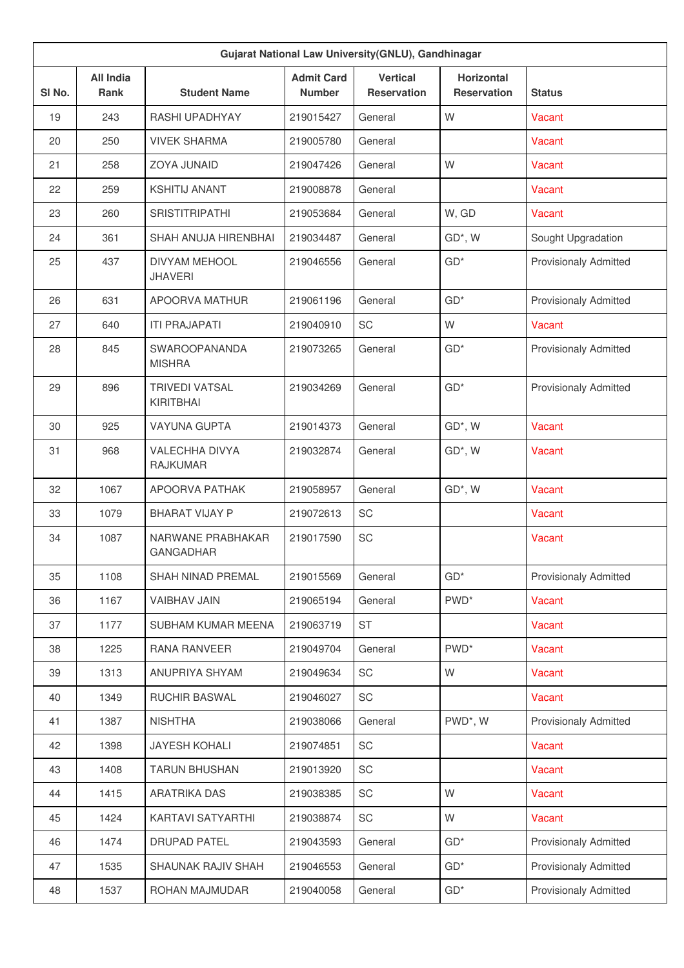| Gujarat National Law University(GNLU), Gandhinagar |                                 |                                           |                                    |                                       |                                         |                              |  |
|----------------------------------------------------|---------------------------------|-------------------------------------------|------------------------------------|---------------------------------------|-----------------------------------------|------------------------------|--|
| SI No.                                             | <b>All India</b><br><b>Rank</b> | <b>Student Name</b>                       | <b>Admit Card</b><br><b>Number</b> | <b>Vertical</b><br><b>Reservation</b> | <b>Horizontal</b><br><b>Reservation</b> | <b>Status</b>                |  |
| 19                                                 | 243                             | <b>RASHI UPADHYAY</b>                     | 219015427                          | General                               | W                                       | Vacant                       |  |
| 20                                                 | 250                             | <b>VIVEK SHARMA</b>                       | 219005780                          | General                               |                                         | Vacant                       |  |
| 21                                                 | 258                             | ZOYA JUNAID                               | 219047426                          | General                               | W                                       | Vacant                       |  |
| 22                                                 | 259                             | <b>KSHITIJ ANANT</b>                      | 219008878                          | General                               |                                         | Vacant                       |  |
| 23                                                 | 260                             | <b>SRISTITRIPATHI</b>                     | 219053684                          | General                               | W, GD                                   | Vacant                       |  |
| 24                                                 | 361                             | SHAH ANUJA HIRENBHAI                      | 219034487                          | General                               | GD*, W                                  | Sought Upgradation           |  |
| 25                                                 | 437                             | <b>DIVYAM MEHOOL</b><br><b>JHAVERI</b>    | 219046556                          | General                               | $GD*$                                   | <b>Provisionaly Admitted</b> |  |
| 26                                                 | 631                             | APOORVA MATHUR                            | 219061196                          | General                               | $GD*$                                   | <b>Provisionaly Admitted</b> |  |
| 27                                                 | 640                             | <b>ITI PRAJAPATI</b>                      | 219040910                          | SC                                    | W                                       | Vacant                       |  |
| 28                                                 | 845                             | <b>SWAROOPANANDA</b><br><b>MISHRA</b>     | 219073265                          | General                               | $GD*$                                   | <b>Provisionaly Admitted</b> |  |
| 29                                                 | 896                             | <b>TRIVEDI VATSAL</b><br><b>KIRITBHAI</b> | 219034269                          | General                               | $GD*$                                   | <b>Provisionaly Admitted</b> |  |
| 30                                                 | 925                             | <b>VAYUNA GUPTA</b>                       | 219014373                          | General                               | GD*, W                                  | Vacant                       |  |
| 31                                                 | 968                             | <b>VALECHHA DIVYA</b><br><b>RAJKUMAR</b>  | 219032874                          | General                               | GD*, W                                  | Vacant                       |  |
| 32                                                 | 1067                            | <b>APOORVA PATHAK</b>                     | 219058957                          | General                               | GD*, W                                  | Vacant                       |  |
| 33                                                 | 1079                            | <b>BHARAT VIJAY P</b>                     | 219072613                          | SC                                    |                                         | Vacant                       |  |
| 34                                                 | 1087                            | NARWANE PRABHAKAR<br><b>GANGADHAR</b>     | 219017590                          | SC                                    |                                         | Vacant                       |  |
| 35                                                 | 1108                            | SHAH NINAD PREMAL                         | 219015569                          | General                               | $GD*$                                   | <b>Provisionaly Admitted</b> |  |
| 36                                                 | 1167                            | <b>VAIBHAV JAIN</b>                       | 219065194                          | General                               | PWD <sup>*</sup>                        | Vacant                       |  |
| 37                                                 | 1177                            | SUBHAM KUMAR MEENA                        | 219063719                          | ST                                    |                                         | Vacant                       |  |
| 38                                                 | 1225                            | RANA RANVEER                              | 219049704                          | General                               | PWD <sup>*</sup>                        | Vacant                       |  |
| 39                                                 | 1313                            | ANUPRIYA SHYAM                            | 219049634                          | SC                                    | W                                       | Vacant                       |  |
| 40                                                 | 1349                            | <b>RUCHIR BASWAL</b>                      | 219046027                          | SC                                    |                                         | Vacant                       |  |
| 41                                                 | 1387                            | <b>NISHTHA</b>                            | 219038066                          | General                               | PWD*, W                                 | Provisionaly Admitted        |  |
| 42                                                 | 1398                            | <b>JAYESH KOHALI</b>                      | 219074851                          | SC                                    |                                         | Vacant                       |  |
| 43                                                 | 1408                            | <b>TARUN BHUSHAN</b>                      | 219013920                          | SC                                    |                                         | Vacant                       |  |
| 44                                                 | 1415                            | <b>ARATRIKA DAS</b>                       | 219038385                          | SC                                    | W                                       | Vacant                       |  |
| 45                                                 | 1424                            | KARTAVI SATYARTHI                         | 219038874                          | SC                                    | W                                       | Vacant                       |  |
| 46                                                 | 1474                            | <b>DRUPAD PATEL</b>                       | 219043593                          | General                               | $GD*$                                   | <b>Provisionaly Admitted</b> |  |
| 47                                                 | 1535                            | <b>SHAUNAK RAJIV SHAH</b>                 | 219046553                          | General                               | $GD*$                                   | <b>Provisionaly Admitted</b> |  |
| 48                                                 | 1537                            | ROHAN MAJMUDAR                            | 219040058                          | General                               | $GD*$                                   | <b>Provisionaly Admitted</b> |  |